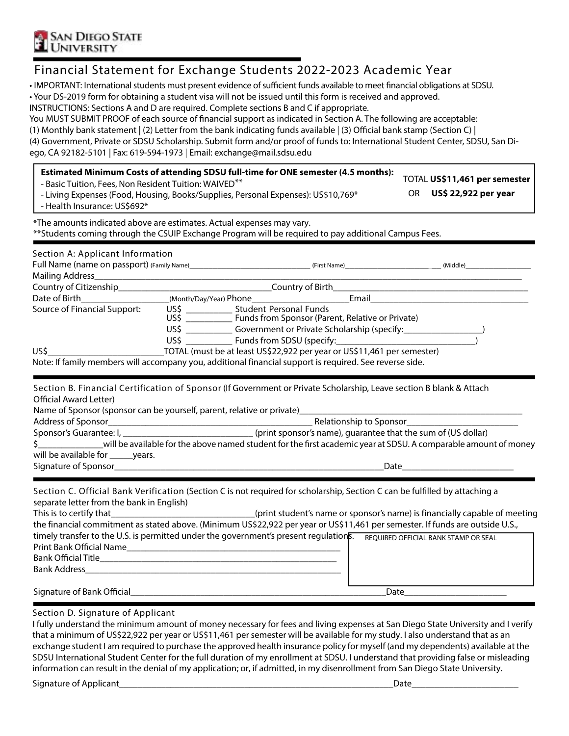

## Financial Statement for Exchange Students 2022-2023 Academic Year

• IMPORTANT: International students must present evidence of sufficient funds available to meet financial obligations at SDSU. • Your DS-2019 form for obtaining a student visa will not be issued until this form is received and approved. INSTRUCTIONS: Sections A and D are required. Complete sections B and C if appropriate.

You MUST SUBMIT PROOF of each source of financial support as indicated in Section A. The following are acceptable:

(1) Monthly bank statement  $|(2)$  Letter from the bank indicating funds available  $|(3)$  Official bank stamp (Section C)  $|$ 

(4) Government, Private or SDSU Scholarship. Submit form and/or proof of funds to: International Student Center, SDSU, San Diego, CA 92182-5101 | Fax: 619-594-1973 | Email: exchange@mail.sdsu.edu

|                                                                                                                                            |  | Estimated Minimum Costs of attending SDSU full-time for ONE semester (4.5 months):                                          | TOTAL US\$11,461 per semester                                                                                                                                                                                                  |  |  |  |
|--------------------------------------------------------------------------------------------------------------------------------------------|--|-----------------------------------------------------------------------------------------------------------------------------|--------------------------------------------------------------------------------------------------------------------------------------------------------------------------------------------------------------------------------|--|--|--|
| - Basic Tuition, Fees, Non Resident Tuition: WAIVED**<br>- Living Expenses (Food, Housing, Books/Supplies, Personal Expenses): US\$10,769* |  |                                                                                                                             | OR.<br>US\$ 22,922 per year                                                                                                                                                                                                    |  |  |  |
|                                                                                                                                            |  |                                                                                                                             |                                                                                                                                                                                                                                |  |  |  |
| - Health Insurance: US\$692*                                                                                                               |  |                                                                                                                             |                                                                                                                                                                                                                                |  |  |  |
| *The amounts indicated above are estimates. Actual expenses may vary.                                                                      |  |                                                                                                                             |                                                                                                                                                                                                                                |  |  |  |
|                                                                                                                                            |  | ** Students coming through the CSUIP Exchange Program will be required to pay additional Campus Fees.                       |                                                                                                                                                                                                                                |  |  |  |
|                                                                                                                                            |  |                                                                                                                             |                                                                                                                                                                                                                                |  |  |  |
| Section A: Applicant Information                                                                                                           |  |                                                                                                                             |                                                                                                                                                                                                                                |  |  |  |
|                                                                                                                                            |  |                                                                                                                             |                                                                                                                                                                                                                                |  |  |  |
|                                                                                                                                            |  |                                                                                                                             |                                                                                                                                                                                                                                |  |  |  |
|                                                                                                                                            |  |                                                                                                                             |                                                                                                                                                                                                                                |  |  |  |
|                                                                                                                                            |  |                                                                                                                             |                                                                                                                                                                                                                                |  |  |  |
| Source of Financial Support:                                                                                                               |  | US\$ __________________ Student Personal Funds<br>US\$ _________________ Funds from Sponsor (Parent, Relative or Private)   |                                                                                                                                                                                                                                |  |  |  |
|                                                                                                                                            |  | US\$ _______________Government or Private Scholarship (specify: _________________                                           |                                                                                                                                                                                                                                |  |  |  |
|                                                                                                                                            |  | US\$ _______________ Funds from SDSU (specify:___________________________________                                           |                                                                                                                                                                                                                                |  |  |  |
| US\$                                                                                                                                       |  |                                                                                                                             |                                                                                                                                                                                                                                |  |  |  |
|                                                                                                                                            |  | Note: If family members will accompany you, additional financial support is required. See reverse side.                     |                                                                                                                                                                                                                                |  |  |  |
|                                                                                                                                            |  |                                                                                                                             |                                                                                                                                                                                                                                |  |  |  |
|                                                                                                                                            |  |                                                                                                                             |                                                                                                                                                                                                                                |  |  |  |
|                                                                                                                                            |  | Section B. Financial Certification of Sponsor (If Government or Private Scholarship, Leave section B blank & Attach         |                                                                                                                                                                                                                                |  |  |  |
| Official Award Letter)                                                                                                                     |  |                                                                                                                             |                                                                                                                                                                                                                                |  |  |  |
|                                                                                                                                            |  |                                                                                                                             | Name of Sponsor (sponsor can be yourself, parent, relative or private) [19] Name of Sponsor (sponsor can be yourself, parent, relative or private) [19] Name of Sponsor (sponsor can be yourself, parent, relative or private) |  |  |  |
|                                                                                                                                            |  |                                                                                                                             |                                                                                                                                                                                                                                |  |  |  |
|                                                                                                                                            |  |                                                                                                                             |                                                                                                                                                                                                                                |  |  |  |
|                                                                                                                                            |  |                                                                                                                             |                                                                                                                                                                                                                                |  |  |  |
| will be available for ______ years.                                                                                                        |  |                                                                                                                             |                                                                                                                                                                                                                                |  |  |  |
|                                                                                                                                            |  |                                                                                                                             | Date and the contract of the contract of the contract of the contract of the contract of the contract of the contract of the contract of the contract of the contract of the contract of the contract of the contract of the c |  |  |  |
|                                                                                                                                            |  |                                                                                                                             |                                                                                                                                                                                                                                |  |  |  |
|                                                                                                                                            |  | Section C. Official Bank Verification (Section C is not required for scholarship, Section C can be fulfilled by attaching a |                                                                                                                                                                                                                                |  |  |  |
| separate letter from the bank in English)                                                                                                  |  |                                                                                                                             |                                                                                                                                                                                                                                |  |  |  |
|                                                                                                                                            |  |                                                                                                                             | This is to certify that <b>contract and contract to contract the contract of the contract of meeting</b> (print student's name or sponsor's name) is financially capable of meeting                                            |  |  |  |
|                                                                                                                                            |  |                                                                                                                             | the financial commitment as stated above. (Minimum US\$22,922 per year or US\$11,461 per semester. If funds are outside U.S.,                                                                                                  |  |  |  |
|                                                                                                                                            |  | timely transfer to the U.S. is permitted under the government's present regulation F. REQUIRED OFFICIAL BANK STAMP OR SEAL  |                                                                                                                                                                                                                                |  |  |  |
|                                                                                                                                            |  |                                                                                                                             |                                                                                                                                                                                                                                |  |  |  |
|                                                                                                                                            |  |                                                                                                                             |                                                                                                                                                                                                                                |  |  |  |
| Bank Address                                                                                                                               |  |                                                                                                                             |                                                                                                                                                                                                                                |  |  |  |
|                                                                                                                                            |  |                                                                                                                             |                                                                                                                                                                                                                                |  |  |  |
|                                                                                                                                            |  |                                                                                                                             | Date and the set of the set of the set of the set of the set of the set of the set of the set of the set of th                                                                                                                 |  |  |  |
|                                                                                                                                            |  |                                                                                                                             |                                                                                                                                                                                                                                |  |  |  |

## Section D. Signature of Applicant

I fully understand the minimum amount of money necessary for fees and living expenses at San Diego State University and I verify that a minimum of US\$22,922 per year or US\$11,461 per semester will be available for my study. I also understand that as an exchange student I am required to purchase the approved health insurance policy for myself (and my dependents) available at the SDSU International Student Center for the full duration of my enrollment at SDSU. I understand that providing false or misleading information can result in the denial of my application; or, if admitted, in my disenrollment from San Diego State University.

Signature of Applicant **Exercise 2.1** and 2.1 and 2.1 and 2.1 and 2.1 and 2.1 and 2.1 and 2.1 and 2.1 and 2.1 and 2.1 and 2.1 and 2.1 and 2.1 and 2.1 and 2.1 and 2.1 and 2.1 and 2.1 and 2.1 and 2.1 and 2.1 and 2.1 and 2.1